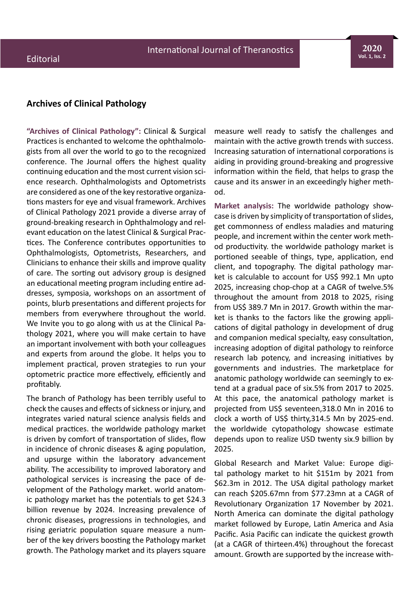**2020 Vol. 1, Iss. 2**

# **Archives of Clinical Pathology**

**"Archives of Clinical Pathology":** Clinical & Surgical Practices is enchanted to welcome the ophthalmologists from all over the world to go to the recognized conference. The Journal offers the highest quality continuing education and the most current vision science research. Ophthalmologists and Optometrists are considered as one of the key restorative organizations masters for eye and visual framework. Archives of Clinical Pathology 2021 provide a diverse array of ground-breaking research in Ophthalmology and relevant education on the latest Clinical & Surgical Practices. The Conference contributes opportunities to Ophthalmologists, Optometrists, Researchers, and Clinicians to enhance their skills and improve quality of care. The sorting out advisory group is designed an educational meeting program including entire addresses, symposia, workshops on an assortment of points, blurb presentations and different projects for members from everywhere throughout the world. We Invite you to go along with us at the Clinical Pathology 2021, where you will make certain to have an important involvement with both your colleagues and experts from around the globe. It helps you to implement practical, proven strategies to run your optometric practice more effectively, efficiently and profitably.

The branch of Pathology has been terribly useful to check the causes and effects of sickness or injury, and integrates varied natural science analysis fields and medical practices. the worldwide pathology market is driven by comfort of transportation of slides, flow in incidence of chronic diseases & aging population, and upsurge within the laboratory advancement ability. The accessibility to improved laboratory and pathological services is increasing the pace of development of the Pathology market. world anatomic pathology market has the potentials to get \$24.3 billion revenue by 2024. Increasing prevalence of chronic diseases, progressions in technologies, and rising geriatric population square measure a number of the key drivers boosting the Pathology market growth. The Pathology market and its players square

measure well ready to satisfy the challenges and maintain with the active growth trends with success. Increasing saturation of international corporations is aiding in providing ground-breaking and progressive information within the field, that helps to grasp the cause and its answer in an exceedingly higher method.

**Market analysis:** The worldwide pathology showcase is driven by simplicity of transportation of slides, get commonness of endless maladies and maturing people, and increment within the center work method productivity. the worldwide pathology market is portioned seeable of things, type, application, end client, and topography. The digital pathology market is calculable to account for US\$ 992.1 Mn upto 2025, increasing chop-chop at a CAGR of twelve.5% throughout the amount from 2018 to 2025, rising from US\$ 389.7 Mn in 2017. Growth within the market is thanks to the factors like the growing applications of digital pathology in development of drug and companion medical specialty, easy consultation, increasing adoption of digital pathology to reinforce research lab potency, and increasing initiatives by governments and industries. The marketplace for anatomic pathology worldwide can seemingly to extend at a gradual pace of six.5% from 2017 to 2025. At this pace, the anatomical pathology market is projected from US\$ seventeen,318.0 Mn in 2016 to clock a worth of US\$ thirty, 314.5 Mn by 2025-end. the worldwide cytopathology showcase estimate depends upon to realize USD twenty six.9 billion by 2025.

Global Research and Market Value: Europe digital pathology market to hit \$151m by 2021 from \$62.3m in 2012. The USA digital pathology market can reach \$205.67mn from \$77.23mn at a CAGR of Revolutionary Organization 17 November by 2021. North America can dominate the digital pathology market followed by Europe, Latin America and Asia Pacific. Asia Pacific can indicate the quickest growth (at a CAGR of thirteen.4%) throughout the forecast amount. Growth are supported by the increase with-